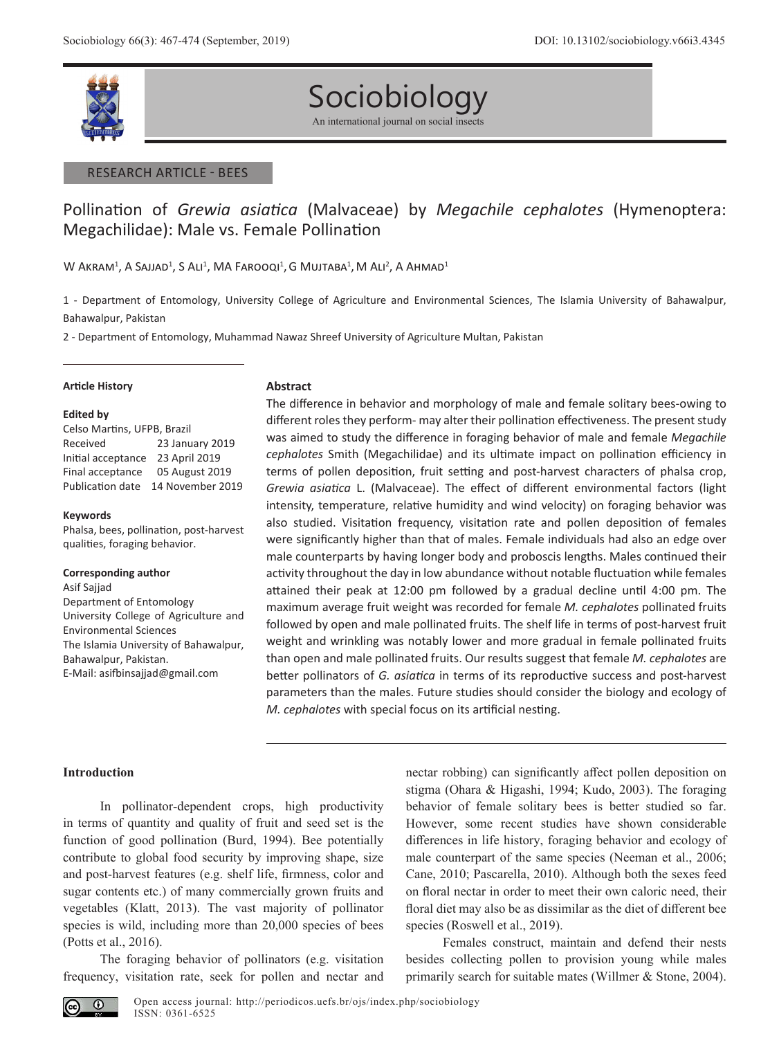

# Sociobiology An international journal on social insects

#### RESEARCH ARTICLE - BEES

# Pollination of *Grewia asiatica* (Malvaceae) by *Megachile cephalotes* (Hymenoptera: Megachilidae): Male vs. Female Pollination

 $W$  Akram $^1$ , A Sajjad $^1$ , S Ali $^1$ , MA Farooqi $^1$ , G Mujtaba $^1$ , M Ali $^2$ , A Ahmad $^1$ 

1 - Department of Entomology, University College of Agriculture and Environmental Sciences, The Islamia University of Bahawalpur, Bahawalpur, Pakistan

2 - Department of Entomology, Muhammad Nawaz Shreef University of Agriculture Multan, Pakistan

#### **Article History**

#### **Edited by**

Celso Martins, UFPB, Brazil Received 23 January 2019 Initial acceptance 23 April 2019 Final acceptance 05 August 2019 Publication date 14 November 2019

#### **Keywords**

Phalsa, bees, pollination, post-harvest qualities, foraging behavior.

#### **Corresponding author**

Asif Sajjad Department of Entomology University College of Agriculture and Environmental Sciences The Islamia University of Bahawalpur, Bahawalpur, Pakistan. E-Mail: asifbinsajjad@gmail.com

#### **Abstract**

The difference in behavior and morphology of male and female solitary bees-owing to different roles they perform- may alter their pollination effectiveness. The present study was aimed to study the difference in foraging behavior of male and female *Megachile cephalotes* Smith (Megachilidae) and its ultimate impact on pollination efficiency in terms of pollen deposition, fruit setting and post-harvest characters of phalsa crop, *Grewia asiatica* L. (Malvaceae). The effect of different environmental factors (light intensity, temperature, relative humidity and wind velocity) on foraging behavior was also studied. Visitation frequency, visitation rate and pollen deposition of females were significantly higher than that of males. Female individuals had also an edge over male counterparts by having longer body and proboscis lengths. Males continued their activity throughout the day in low abundance without notable fluctuation while females attained their peak at 12:00 pm followed by a gradual decline until 4:00 pm. The maximum average fruit weight was recorded for female *M. cephalotes* pollinated fruits followed by open and male pollinated fruits. The shelf life in terms of post-harvest fruit weight and wrinkling was notably lower and more gradual in female pollinated fruits than open and male pollinated fruits. Our results suggest that female *M. cephalotes* are better pollinators of *G. asiatica* in terms of its reproductive success and post-harvest parameters than the males. Future studies should consider the biology and ecology of *M. cephalotes* with special focus on its artificial nesting.

# **Introduction**

In pollinator-dependent crops, high productivity in terms of quantity and quality of fruit and seed set is the function of good pollination (Burd, 1994). Bee potentially contribute to global food security by improving shape, size and post-harvest features (e.g. shelf life, firmness, color and sugar contents etc.) of many commercially grown fruits and vegetables (Klatt, 2013). The vast majority of pollinator species is wild, including more than 20,000 species of bees (Potts et al., 2016).

The foraging behavior of pollinators (e.g. visitation frequency, visitation rate, seek for pollen and nectar and nectar robbing) can significantly affect pollen deposition on stigma (Ohara & Higashi, 1994; Kudo, 2003). The foraging behavior of female solitary bees is better studied so far. However, some recent studies have shown considerable differences in life history, foraging behavior and ecology of male counterpart of the same species (Neeman et al., 2006; Cane, 2010; Pascarella, 2010). Although both the sexes feed on floral nectar in order to meet their own caloric need, their floral diet may also be as dissimilar as the diet of different bee species (Roswell et al., 2019).

Females construct, maintain and defend their nests besides collecting pollen to provision young while males primarily search for suitable mates (Willmer & Stone, 2004).

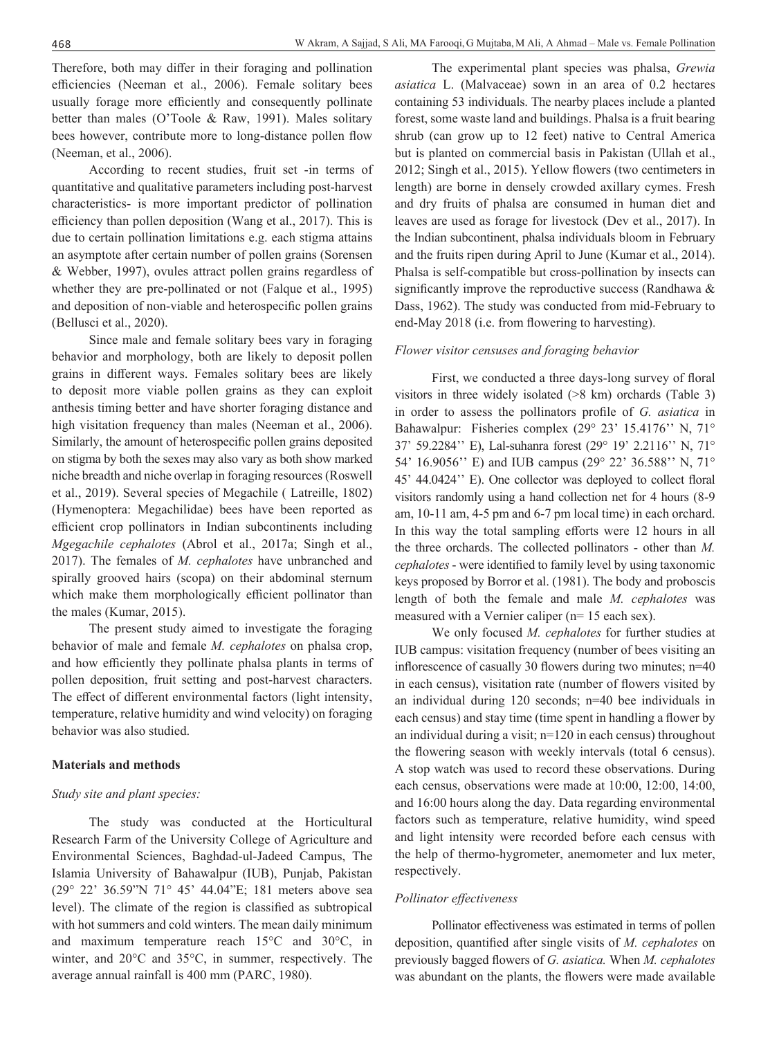Therefore, both may differ in their foraging and pollination efficiencies (Neeman et al., 2006). Female solitary bees usually forage more efficiently and consequently pollinate better than males (O'Toole & Raw, 1991). Males solitary bees however, contribute more to long-distance pollen flow (Neeman, et al., 2006).

According to recent studies, fruit set -in terms of quantitative and qualitative parameters including post-harvest characteristics- is more important predictor of pollination efficiency than pollen deposition (Wang et al., 2017). This is due to certain pollination limitations e.g. each stigma attains an asymptote after certain number of pollen grains (Sorensen & Webber, 1997), ovules attract pollen grains regardless of whether they are pre-pollinated or not (Falque et al., 1995) and deposition of non-viable and heterospecific pollen grains (Bellusci et al., 2020).

Since male and female solitary bees vary in foraging behavior and morphology, both are likely to deposit pollen grains in different ways. Females solitary bees are likely to deposit more viable pollen grains as they can exploit anthesis timing better and have shorter foraging distance and high visitation frequency than males (Neeman et al., 2006). Similarly, the amount of heterospecific pollen grains deposited on stigma by both the sexes may also vary as both show marked niche breadth and niche overlap in foraging resources (Roswell et al., 2019). Several species of Megachile ( Latreille, 1802) (Hymenoptera: Megachilidae) bees have been reported as efficient crop pollinators in Indian subcontinents including *Mgegachile cephalotes* (Abrol et al., 2017a; Singh et al., 2017). The females of *M. cephalotes* have unbranched and spirally grooved hairs (scopa) on their abdominal sternum which make them morphologically efficient pollinator than the males (Kumar, 2015).

The present study aimed to investigate the foraging behavior of male and female *M. cephalotes* on phalsa crop, and how efficiently they pollinate phalsa plants in terms of pollen deposition, fruit setting and post-harvest characters. The effect of different environmental factors (light intensity, temperature, relative humidity and wind velocity) on foraging behavior was also studied.

# **Materials and methods**

# *Study site and plant species:*

The study was conducted at the Horticultural Research Farm of the University College of Agriculture and Environmental Sciences, Baghdad-ul-Jadeed Campus, The Islamia University of Bahawalpur (IUB), Punjab, Pakistan (29° 22' 36.59"N 71° 45' 44.04"E; 181 meters above sea level). The climate of the region is classified as subtropical with hot summers and cold winters. The mean daily minimum and maximum temperature reach 15°C and 30°C, in winter, and 20°C and 35°C, in summer, respectively. The average annual rainfall is 400 mm (PARC, 1980).

The experimental plant species was phalsa, *Grewia asiatica* L. (Malvaceae) sown in an area of 0.2 hectares containing 53 individuals. The nearby places include a planted forest, some waste land and buildings. Phalsa is a fruit bearing shrub (can grow up to 12 feet) native to Central America but is planted on commercial basis in Pakistan (Ullah et al., 2012; Singh et al., 2015). Yellow flowers (two centimeters in length) are borne in densely crowded axillary cymes. Fresh and dry fruits of phalsa are consumed in human diet and leaves are used as forage for livestock (Dev et al., 2017). In the Indian subcontinent, phalsa individuals bloom in February and the fruits ripen during April to June (Kumar et al., 2014). Phalsa is self-compatible but cross-pollination by insects can significantly improve the reproductive success (Randhawa & Dass, 1962). The study was conducted from mid-February to end-May 2018 (i.e. from flowering to harvesting).

### *Flower visitor censuses and foraging behavior*

First, we conducted a three days-long survey of floral visitors in three widely isolated (>8 km) orchards (Table 3) in order to assess the pollinators profile of *G. asiatica* in Bahawalpur: Fisheries complex (29° 23' 15.4176'' N, 71° 37' 59.2284'' E), Lal-suhanra forest (29° 19' 2.2116'' N, 71° 54' 16.9056'' E) and IUB campus (29° 22' 36.588'' N, 71° 45' 44.0424'' E). One collector was deployed to collect floral visitors randomly using a hand collection net for 4 hours (8-9 am, 10-11 am, 4-5 pm and 6-7 pm local time) in each orchard. In this way the total sampling efforts were 12 hours in all the three orchards. The collected pollinators - other than *M. cephalotes* - were identified to family level by using taxonomic keys proposed by Borror et al. (1981). The body and proboscis length of both the female and male *M. cephalotes* was measured with a Vernier caliper (n= 15 each sex).

We only focused *M. cephalotes* for further studies at IUB campus: visitation frequency (number of bees visiting an inflorescence of casually 30 flowers during two minutes; n=40 in each census), visitation rate (number of flowers visited by an individual during 120 seconds; n=40 bee individuals in each census) and stay time (time spent in handling a flower by an individual during a visit; n=120 in each census) throughout the flowering season with weekly intervals (total 6 census). A stop watch was used to record these observations. During each census, observations were made at 10:00, 12:00, 14:00, and 16:00 hours along the day. Data regarding environmental factors such as temperature, relative humidity, wind speed and light intensity were recorded before each census with the help of thermo-hygrometer, anemometer and lux meter, respectively.

# *Pollinator effectiveness*

Pollinator effectiveness was estimated in terms of pollen deposition, quantified after single visits of *M. cephalotes* on previously bagged flowers of *G. asiatica.* When *M. cephalotes* was abundant on the plants, the flowers were made available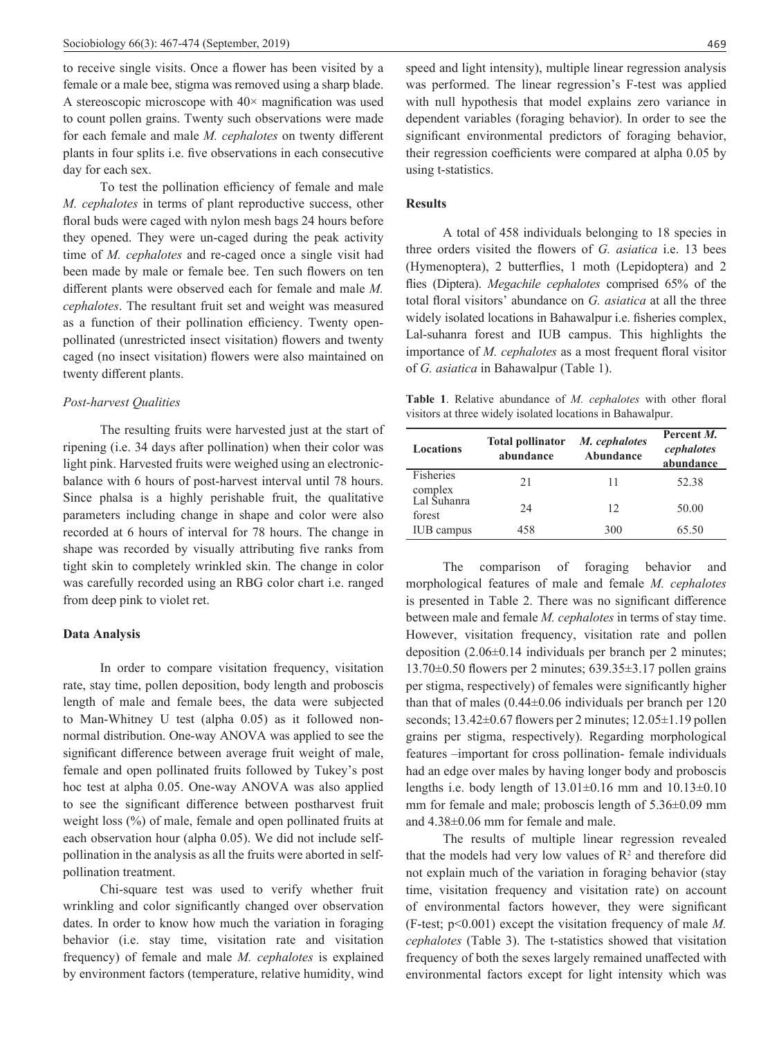to receive single visits. Once a flower has been visited by a female or a male bee, stigma was removed using a sharp blade. A stereoscopic microscope with  $40\times$  magnification was used to count pollen grains. Twenty such observations were made for each female and male *M. cephalotes* on twenty different plants in four splits i.e. five observations in each consecutive day for each sex.

To test the pollination efficiency of female and male *M. cephalotes* in terms of plant reproductive success, other floral buds were caged with nylon mesh bags 24 hours before they opened. They were un-caged during the peak activity time of *M. cephalotes* and re-caged once a single visit had been made by male or female bee. Ten such flowers on ten different plants were observed each for female and male *M. cephalotes*. The resultant fruit set and weight was measured as a function of their pollination efficiency. Twenty openpollinated (unrestricted insect visitation) flowers and twenty caged (no insect visitation) flowers were also maintained on twenty different plants.

# *Post-harvest Qualities*

The resulting fruits were harvested just at the start of ripening (i.e. 34 days after pollination) when their color was light pink. Harvested fruits were weighed using an electronicbalance with 6 hours of post-harvest interval until 78 hours. Since phalsa is a highly perishable fruit, the qualitative parameters including change in shape and color were also recorded at 6 hours of interval for 78 hours. The change in shape was recorded by visually attributing five ranks from tight skin to completely wrinkled skin. The change in color was carefully recorded using an RBG color chart i.e. ranged from deep pink to violet ret.

# **Data Analysis**

In order to compare visitation frequency, visitation rate, stay time, pollen deposition, body length and proboscis length of male and female bees, the data were subjected to Man-Whitney U test (alpha 0.05) as it followed nonnormal distribution. One-way ANOVA was applied to see the significant difference between average fruit weight of male, female and open pollinated fruits followed by Tukey's post hoc test at alpha 0.05. One-way ANOVA was also applied to see the significant difference between postharvest fruit weight loss (%) of male, female and open pollinated fruits at each observation hour (alpha 0.05). We did not include selfpollination in the analysis as all the fruits were aborted in selfpollination treatment.

Chi-square test was used to verify whether fruit wrinkling and color significantly changed over observation dates. In order to know how much the variation in foraging behavior (i.e. stay time, visitation rate and visitation frequency) of female and male *M. cephalotes* is explained by environment factors (temperature, relative humidity, wind

speed and light intensity), multiple linear regression analysis was performed. The linear regression's F-test was applied with null hypothesis that model explains zero variance in dependent variables (foraging behavior). In order to see the significant environmental predictors of foraging behavior, their regression coefficients were compared at alpha 0.05 by using t-statistics.

# **Results**

A total of 458 individuals belonging to 18 species in three orders visited the flowers of *G. asiatica* i.e. 13 bees (Hymenoptera), 2 butterflies, 1 moth (Lepidoptera) and 2 flies (Diptera). *Megachile cephalotes* comprised 65% of the total floral visitors' abundance on *G. asiatica* at all the three widely isolated locations in Bahawalpur i.e. fisheries complex, Lal-suhanra forest and IUB campus. This highlights the importance of *M. cephalotes* as a most frequent floral visitor of *G. asiatica* in Bahawalpur (Table 1).

**Table 1**. Relative abundance of *M. cephalotes* with other floral visitors at three widely isolated locations in Bahawalpur.

| <b>Locations</b>      | <b>Total pollinator</b><br>abundance | M. cephalotes<br>Abundance | Percent M.<br>cephalotes<br>abundance |
|-----------------------|--------------------------------------|----------------------------|---------------------------------------|
| Fisheries<br>complex  | 21                                   | 11                         | 52.38                                 |
| Lal Ŝuhanra<br>forest | 24                                   | 12                         | 50.00                                 |
| <b>IUB</b> campus     | 458                                  | 300                        | 65.50                                 |

The comparison of foraging behavior and morphological features of male and female *M. cephalotes* is presented in Table 2. There was no significant difference between male and female *M. cephalotes* in terms of stay time. However, visitation frequency, visitation rate and pollen deposition (2.06±0.14 individuals per branch per 2 minutes; 13.70±0.50 flowers per 2 minutes; 639.35±3.17 pollen grains per stigma, respectively) of females were significantly higher than that of males (0.44±0.06 individuals per branch per 120 seconds; 13.42 $\pm$ 0.67 flowers per 2 minutes; 12.05 $\pm$ 1.19 pollen grains per stigma, respectively). Regarding morphological features –important for cross pollination- female individuals had an edge over males by having longer body and proboscis lengths i.e. body length of 13.01±0.16 mm and 10.13±0.10 mm for female and male; proboscis length of 5.36±0.09 mm and 4.38±0.06 mm for female and male.

The results of multiple linear regression revealed that the models had very low values of  $\mathbb{R}^2$  and therefore did not explain much of the variation in foraging behavior (stay time, visitation frequency and visitation rate) on account of environmental factors however, they were significant (F-test; p<0.001) except the visitation frequency of male *M. cephalotes* (Table 3). The t-statistics showed that visitation frequency of both the sexes largely remained unaffected with environmental factors except for light intensity which was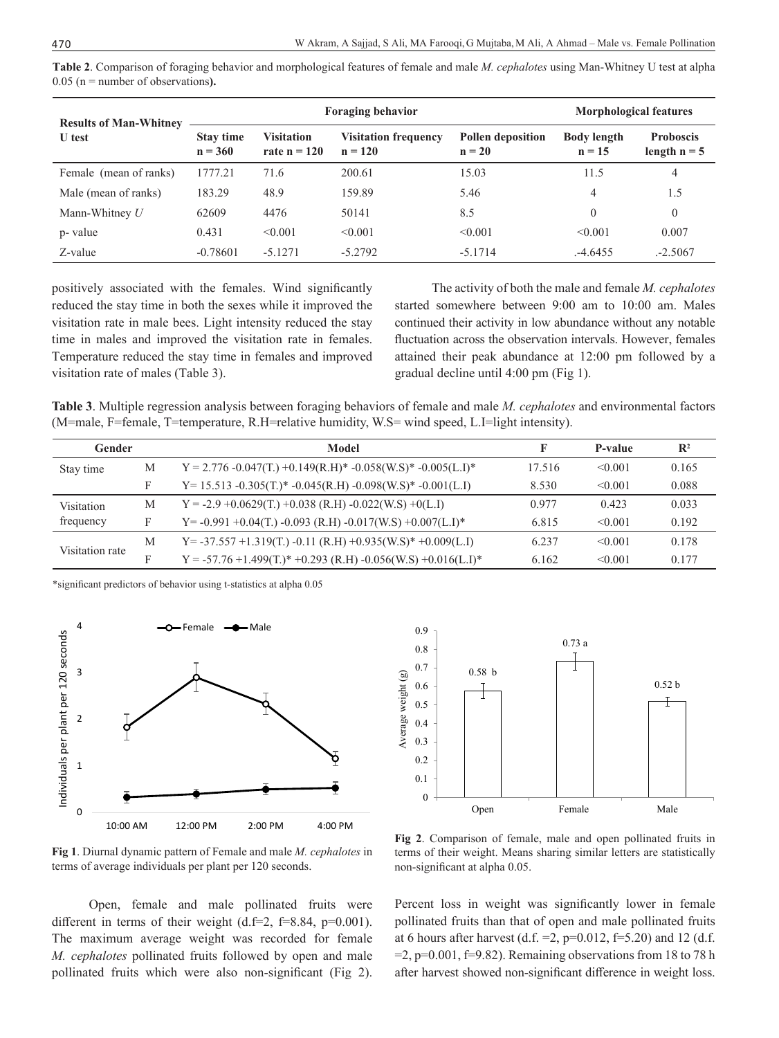**Table 2**. Comparison of foraging behavior and morphological features of female and male *M. cephalotes* using Man-Whitney U test at alpha 0.05 (n = number of observations**).**

| <b>Results of Man-Whitney</b> | <b>Foraging behavior</b>      |                                     |                                          | <b>Morphological features</b> |                                |                                    |
|-------------------------------|-------------------------------|-------------------------------------|------------------------------------------|-------------------------------|--------------------------------|------------------------------------|
| U test                        | <b>Stay time</b><br>$n = 360$ | <b>Visitation</b><br>rate $n = 120$ | <b>Visitation frequency</b><br>$n = 120$ | Pollen deposition<br>$n = 20$ | <b>Body length</b><br>$n = 15$ | <b>Proboscis</b><br>length $n = 5$ |
| Female (mean of ranks)        | 1777.21                       | 71.6                                | 200.61                                   | 15.03                         | 11.5                           | 4                                  |
| Male (mean of ranks)          | 183.29                        | 48.9                                | 159.89                                   | 5.46                          | 4                              | 1.5                                |
| Mann-Whitney $U$              | 62609                         | 4476                                | 50141                                    | 8.5                           | $\theta$                       | $\theta$                           |
| p- value                      | 0.431                         | < 0.001                             | < 0.001                                  | < 0.001                       | < 0.001                        | 0.007                              |
| Z-value                       | $-0.78601$                    | $-5.1271$                           | $-5.2792$                                | $-5.1714$                     | .-4.6455                       | $-2.5067$                          |

positively associated with the females. Wind significantly reduced the stay time in both the sexes while it improved the visitation rate in male bees. Light intensity reduced the stay time in males and improved the visitation rate in females. Temperature reduced the stay time in females and improved visitation rate of males (Table 3).

The activity of both the male and female *M. cephalotes* started somewhere between 9:00 am to 10:00 am. Males continued their activity in low abundance without any notable fluctuation across the observation intervals. However, females attained their peak abundance at 12:00 pm followed by a gradual decline until 4:00 pm (Fig 1).

**Table 3**. Multiple regression analysis between foraging behaviors of female and male *M. cephalotes* and environmental factors (M=male, F=female, T=temperature, R.H=relative humidity, W.S= wind speed, L.I=light intensity).

| Gender          |   | Model                                                               | F      | P-value      | $\mathbb{R}^2$ |
|-----------------|---|---------------------------------------------------------------------|--------|--------------|----------------|
| Stay time       | М | $Y = 2.776 - 0.047(T) + 0.149(R.H)* -0.058(W.S)* -0.005(L.I)*$      | 17.516 | $\leq 0.001$ | 0.165          |
|                 | F | $Y = 15.513 - 0.305(T.)* -0.045(R.H) -0.098(W.S)* -0.001(L.I)$      | 8.530  | $\leq 0.001$ | 0.088          |
| Visitation      | М | $Y = -2.9 + 0.0629(T) + 0.038 (R.H) - 0.022(W.S) + 0(L.I)$          | 0.977  | 0.423        | 0.033          |
| frequency       | F | $Y = -0.991 + 0.04(T) - 0.093$ (R.H) $-0.017$ (W.S) $+0.007$ (L.I)* | 6.815  | $\leq 0.001$ | 0.192          |
| Visitation rate | M | $Y = -37.557 + 1.319(T) - 0.11 (R.H) + 0.935(W.S)*+0.009(L.I)$      | 6.237  | $\leq 0.001$ | 0.178          |
|                 | F | $Y = -57.76 + 1.499(T.)* +0.293 (R.H) -0.056(W.S) +0.016(L.I)*$     | 6.162  | $\leq 0.001$ | 0.177          |
|                 |   |                                                                     |        |              |                |

\*significant predictors of behavior using t-statistics at alpha 0.05



**Fig 1**. Diurnal dynamic pattern of Female and male *M. cephalotes* in terms of average individuals per plant per 120 seconds.

Open, female and male pollinated fruits were different in terms of their weight (d.f=2, f=8.84,  $p=0.001$ ). The maximum average weight was recorded for female *M. cephalotes* pollinated fruits followed by open and male pollinated fruits which were also non-significant (Fig 2).



**Fig 2**. Comparison of female, male and open pollinated fruits in terms of their weight. Means sharing similar letters are statistically non-significant at alpha 0.05.

Percent loss in weight was significantly lower in female pollinated fruits than that of open and male pollinated fruits at 6 hours after harvest (d.f. = 2, p=0.012, f=5.20) and 12 (d.f.  $=2$ , p=0.001, f=9.82). Remaining observations from 18 to 78 h after harvest showed non-significant difference in weight loss.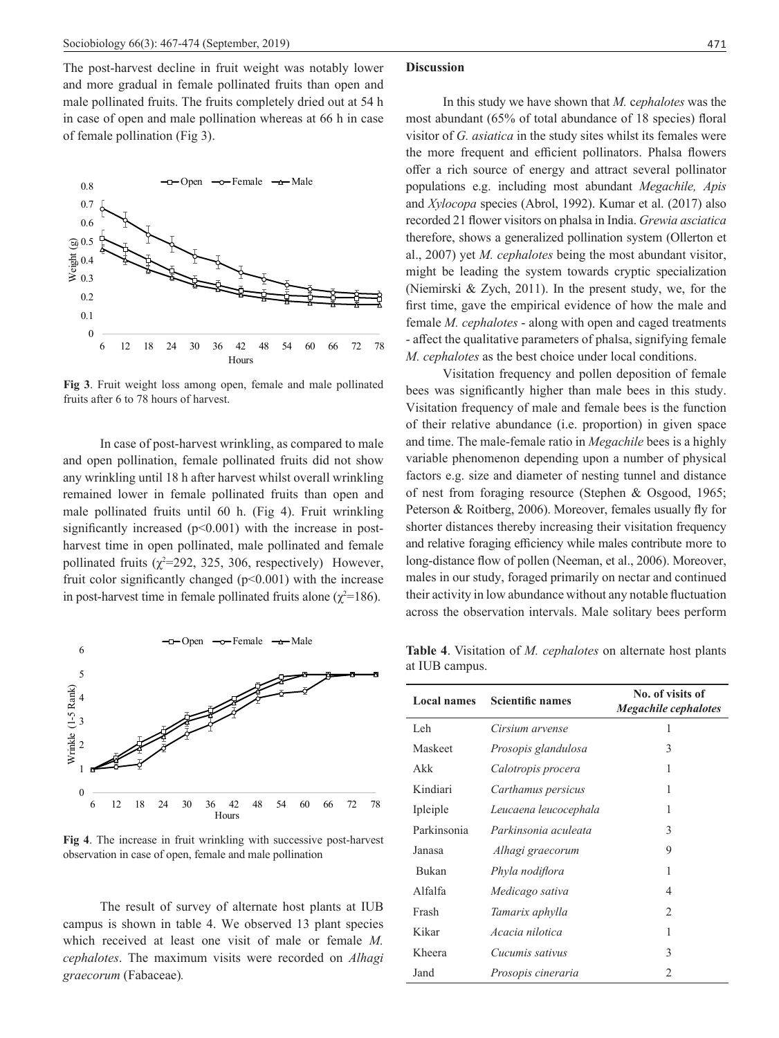The post-harvest decline in fruit weight was notably lower and more gradual in female pollinated fruits than open and male pollinated fruits. The fruits completely dried out at 54 h in case of open and male pollination whereas at 66 h in case of female pollination (Fig 3).



**Fig 3**. Fruit weight loss among open, female and male pollinated fruits after 6 to 78 hours of harvest.

In case of post-harvest wrinkling, as compared to male and open pollination, female pollinated fruits did not show any wrinkling until 18 h after harvest whilst overall wrinkling remained lower in female pollinated fruits than open and male pollinated fruits until 60 h. (Fig 4). Fruit wrinkling significantly increased  $(p<0.001)$  with the increase in postharvest time in open pollinated, male pollinated and female pollinated fruits  $(\chi^2=292, 325, 306,$  respectively) However, fruit color significantly changed  $(p<0.001)$  with the increase in post-harvest time in female pollinated fruits alone ( $\chi^2$ =186).



**Fig 4**. The increase in fruit wrinkling with successive post-harvest observation in case of open, female and male pollination

The result of survey of alternate host plants at IUB campus is shown in table 4. We observed 13 plant species which received at least one visit of male or female *M. cephalotes*. The maximum visits were recorded on *Alhagi graecorum* (Fabaceae)*.*

### **Discussion**

In this study we have shown that *M.* c*ephalotes* was the most abundant (65% of total abundance of 18 species) floral visitor of *G. asiatica* in the study sites whilst its females were the more frequent and efficient pollinators. Phalsa flowers offer a rich source of energy and attract several pollinator populations e.g. including most abundant *Megachile, Apis*  and *Xylocopa* species (Abrol, 1992). Kumar et al. (2017) also recorded 21 flower visitors on phalsa in India. *Grewia asciatica* therefore, shows a generalized pollination system (Ollerton et al., 2007) yet *M. cephalotes* being the most abundant visitor, might be leading the system towards cryptic specialization (Niemirski & Zych, 2011). In the present study, we, for the first time, gave the empirical evidence of how the male and female *M. cephalotes* - along with open and caged treatments - affect the qualitative parameters of phalsa, signifying female *M. cephalotes* as the best choice under local conditions.

Visitation frequency and pollen deposition of female bees was significantly higher than male bees in this study. Visitation frequency of male and female bees is the function of their relative abundance (i.e. proportion) in given space and time. The male-female ratio in *Megachile* bees is a highly variable phenomenon depending upon a number of physical factors e.g. size and diameter of nesting tunnel and distance of nest from foraging resource (Stephen & Osgood, 1965; Peterson & Roitberg, 2006). Moreover, females usually fly for shorter distances thereby increasing their visitation frequency and relative foraging efficiency while males contribute more to long-distance flow of pollen (Neeman, et al., 2006). Moreover, males in our study, foraged primarily on nectar and continued their activity in low abundance without any notable fluctuation across the observation intervals. Male solitary bees perform

**Table 4**. Visitation of *M. cephalotes* on alternate host plants at IUB campus.

| <b>Local names</b> | <b>Scientific names</b> | No. of visits of<br><b>Megachile cephalotes</b> |  |  |
|--------------------|-------------------------|-------------------------------------------------|--|--|
| Leh                | Cirsium arvense         | 1                                               |  |  |
| Maskeet            | Prosopis glandulosa     | 3                                               |  |  |
| Akk                | Calotropis procera      | 1                                               |  |  |
| Kindiari           | Carthamus persicus      | 1                                               |  |  |
| Ipleiple           | Leucaena leucocephala   | 1                                               |  |  |
| Parkinsonia        | Parkinsonia aculeata    | 3                                               |  |  |
| Janasa             | Alhagi graecorum        | 9                                               |  |  |
| Bukan              | Phyla nodiflora         | 1                                               |  |  |
| Alfalfa            | Medicago sativa         | 4                                               |  |  |
| Frash              | Tamarix aphylla         | $\overline{c}$                                  |  |  |
| Kikar              | Acacia nilotica         | 1                                               |  |  |
| Kheera             | Cucumis sativus         | 3                                               |  |  |
| Jand               | Prosopis cineraria      | $\mathfrak{D}$                                  |  |  |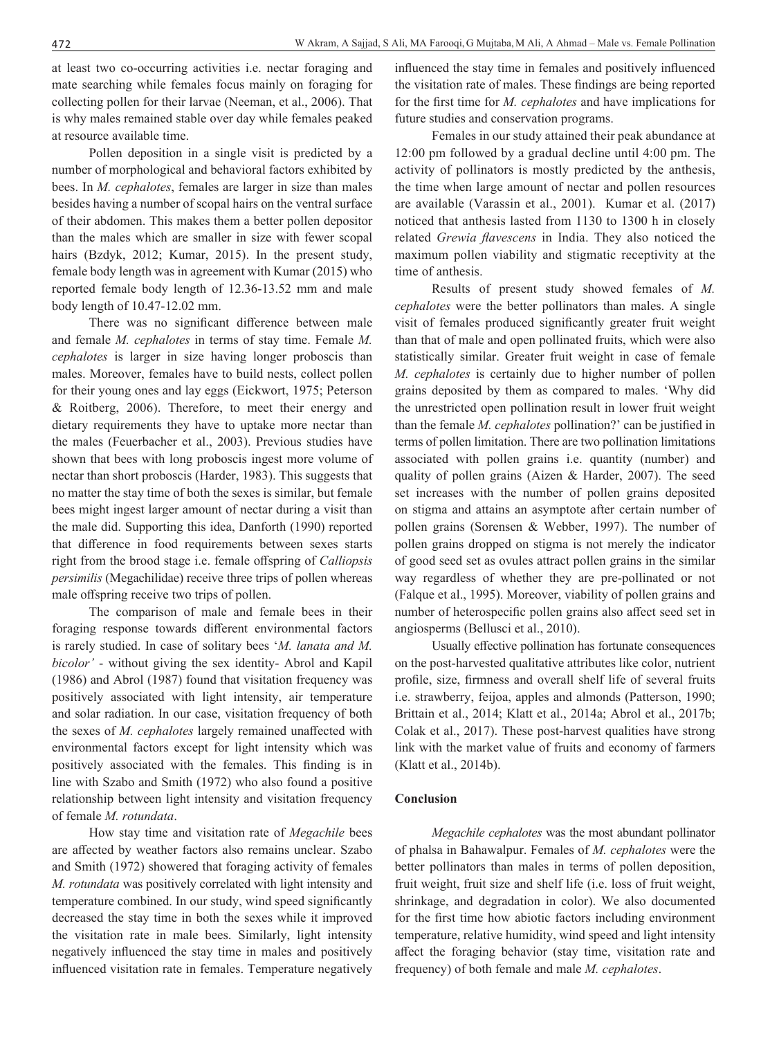at least two co-occurring activities i.e. nectar foraging and mate searching while females focus mainly on foraging for collecting pollen for their larvae (Neeman, et al., 2006). That is why males remained stable over day while females peaked at resource available time.

Pollen deposition in a single visit is predicted by a number of morphological and behavioral factors exhibited by bees. In *M. cephalotes*, females are larger in size than males besides having a number of scopal hairs on the ventral surface of their abdomen. This makes them a better pollen depositor than the males which are smaller in size with fewer scopal hairs (Bzdyk, 2012; Kumar, 2015). In the present study, female body length was in agreement with Kumar (2015) who reported female body length of 12.36-13.52 mm and male body length of 10.47-12.02 mm.

There was no significant difference between male and female *M. cephalotes* in terms of stay time. Female *M. cephalotes* is larger in size having longer proboscis than males. Moreover, females have to build nests, collect pollen for their young ones and lay eggs (Eickwort, 1975; Peterson & Roitberg, 2006). Therefore, to meet their energy and dietary requirements they have to uptake more nectar than the males (Feuerbacher et al., 2003). Previous studies have shown that bees with long proboscis ingest more volume of nectar than short proboscis (Harder, 1983). This suggests that no matter the stay time of both the sexes is similar, but female bees might ingest larger amount of nectar during a visit than the male did. Supporting this idea, Danforth (1990) reported that difference in food requirements between sexes starts right from the brood stage i.e. female offspring of *Calliopsis persimilis* (Megachilidae) receive three trips of pollen whereas male offspring receive two trips of pollen.

The comparison of male and female bees in their foraging response towards different environmental factors is rarely studied. In case of solitary bees '*M. lanata and M. bicolor'* - without giving the sex identity- Abrol and Kapil (1986) and Abrol (1987) found that visitation frequency was positively associated with light intensity, air temperature and solar radiation. In our case, visitation frequency of both the sexes of *M. cephalotes* largely remained unaffected with environmental factors except for light intensity which was positively associated with the females. This finding is in line with Szabo and Smith (1972) who also found a positive relationship between light intensity and visitation frequency of female *M. rotundata*.

How stay time and visitation rate of *Megachile* bees are affected by weather factors also remains unclear. Szabo and Smith (1972) showered that foraging activity of females *M. rotundata* was positively correlated with light intensity and temperature combined. In our study, wind speed significantly decreased the stay time in both the sexes while it improved the visitation rate in male bees. Similarly, light intensity negatively influenced the stay time in males and positively influenced visitation rate in females. Temperature negatively influenced the stay time in females and positively influenced the visitation rate of males. These findings are being reported for the first time for *M. cephalotes* and have implications for future studies and conservation programs.

Females in our study attained their peak abundance at 12:00 pm followed by a gradual decline until 4:00 pm. The activity of pollinators is mostly predicted by the anthesis, the time when large amount of nectar and pollen resources are available (Varassin et al., 2001). Kumar et al. (2017) noticed that anthesis lasted from 1130 to 1300 h in closely related *Grewia flavescens* in India. They also noticed the maximum pollen viability and stigmatic receptivity at the time of anthesis.

Results of present study showed females of *M. cephalotes* were the better pollinators than males. A single visit of females produced significantly greater fruit weight than that of male and open pollinated fruits, which were also statistically similar. Greater fruit weight in case of female *M. cephalotes* is certainly due to higher number of pollen grains deposited by them as compared to males. 'Why did the unrestricted open pollination result in lower fruit weight than the female *M. cephalotes* pollination?' can be justified in terms of pollen limitation. There are two pollination limitations associated with pollen grains i.e. quantity (number) and quality of pollen grains (Aizen & Harder, 2007). The seed set increases with the number of pollen grains deposited on stigma and attains an asymptote after certain number of pollen grains (Sorensen & Webber, 1997). The number of pollen grains dropped on stigma is not merely the indicator of good seed set as ovules attract pollen grains in the similar way regardless of whether they are pre-pollinated or not (Falque et al., 1995). Moreover, viability of pollen grains and number of heterospecific pollen grains also affect seed set in angiosperms (Bellusci et al., 2010).

Usually effective pollination has fortunate consequences on the post-harvested qualitative attributes like color, nutrient profile, size, firmness and overall shelf life of several fruits i.e. strawberry, feijoa, apples and almonds (Patterson, 1990; Brittain et al., 2014; Klatt et al., 2014a; Abrol et al., 2017b; Colak et al., 2017). These post-harvest qualities have strong link with the market value of fruits and economy of farmers (Klatt et al., 2014b).

### **Conclusion**

*Megachile cephalotes* was the most abundant pollinator of phalsa in Bahawalpur. Females of *M. cephalotes* were the better pollinators than males in terms of pollen deposition, fruit weight, fruit size and shelf life (i.e. loss of fruit weight, shrinkage, and degradation in color). We also documented for the first time how abiotic factors including environment temperature, relative humidity, wind speed and light intensity affect the foraging behavior (stay time, visitation rate and frequency) of both female and male *M. cephalotes*.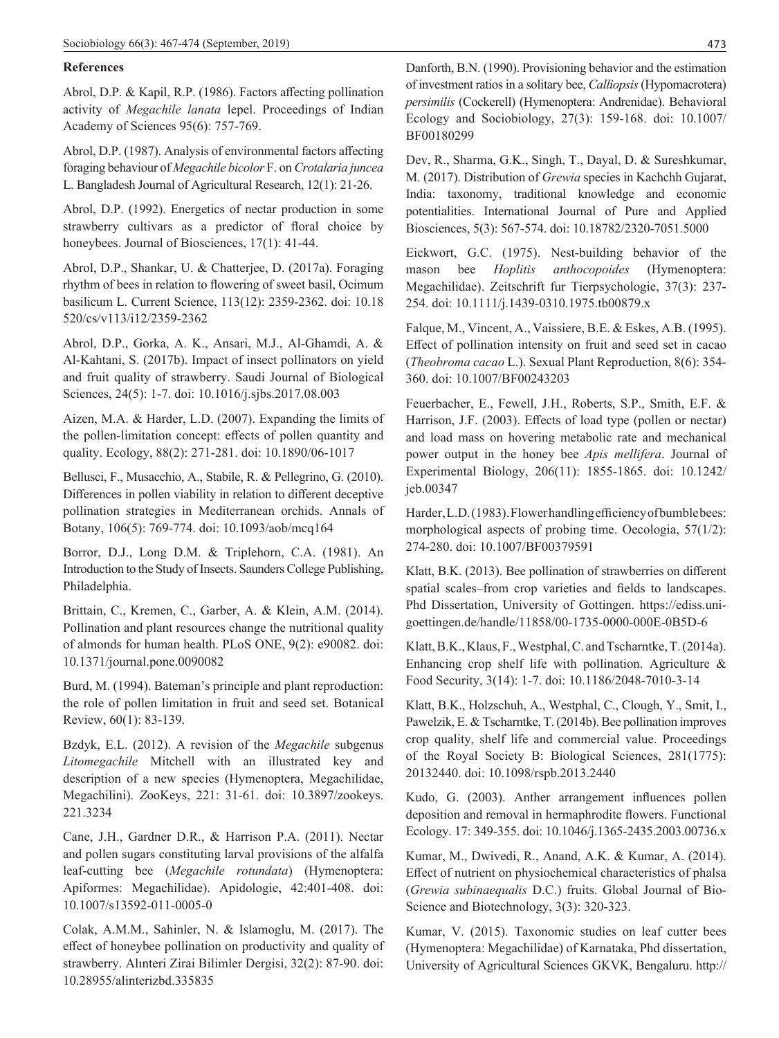# **References**

Abrol, D.P. & Kapil, R.P. (1986). Factors affecting pollination activity of *Megachile lanata* lepel. Proceedings of Indian Academy of Sciences 95(6): 757-769.

Abrol, D.P. (1987). Analysis of environmental factors affecting foraging behaviour of *Megachile bicolor* F. on *Crotalaria juncea* L. Bangladesh Journal of Agricultural Research, 12(1): 21-26.

Abrol, D.P. (1992). Energetics of nectar production in some strawberry cultivars as a predictor of floral choice by honeybees. Journal of Biosciences, 17(1): 41-44.

Abrol, D.P., Shankar, U. & Chatterjee, D. (2017a). Foraging rhythm of bees in relation to flowering of sweet basil, Ocimum basilicum L. Current Science, 113(12): 2359-2362. doi: 10.18 520/cs/v113/i12/2359-2362

Abrol, D.P., Gorka, A. K., Ansari, M.J., Al-Ghamdi, A. & Al-Kahtani, S. (2017b). Impact of insect pollinators on yield and fruit quality of strawberry. Saudi Journal of Biological Sciences, 24(5): 1-7. doi: 10.1016/j.sjbs.2017.08.003

Aizen, M.A. & Harder, L.D. (2007). Expanding the limits of the pollen-limitation concept: effects of pollen quantity and quality. Ecology, 88(2): 271-281. doi: 10.1890/06-1017

Bellusci, F., Musacchio, A., Stabile, R. & Pellegrino, G. (2010). Differences in pollen viability in relation to different deceptive pollination strategies in Mediterranean orchids. Annals of Botany, 106(5): 769-774. doi: 10.1093/aob/mcq164

Borror, D.J., Long D.M. & Triplehorn, C.A. (1981). An Introduction to the Study of Insects. Saunders College Publishing, Philadelphia.

Brittain, C., Kremen, C., Garber, A. & Klein, A.M. (2014). Pollination and plant resources change the nutritional quality of almonds for human health. PLoS ONE, 9(2): e90082. doi: 10.1371/journal.pone.0090082

Burd, M. (1994). Bateman's principle and plant reproduction: the role of pollen limitation in fruit and seed set. Botanical Review, 60(1): 83-139.

Bzdyk, E.L. (2012). A revision of the *Megachile* subgenus *Litomegachile* Mitchell with an illustrated key and description of a new species (Hymenoptera, Megachilidae, Megachilini). *Z*ooKeys, 221: 31-61. doi: 10.3897/zookeys. 221.3234

Cane, J.H., Gardner D.R., & Harrison P.A. (2011). Nectar and pollen sugars constituting larval provisions of the alfalfa leaf-cutting bee (*Megachile rotundata*) (Hymenoptera: Apiformes: Megachilidae). Apidologie, 42:401-408. doi: 10.1007/s13592-011-0005-0

Colak, A.M.M., Sahinler, N. & Islamoglu, M. (2017). The effect of honeybee pollination on productivity and quality of strawberry. Alınteri Zirai Bilimler Dergisi, 32(2): 87-90. doi: 10.28955/alinterizbd.335835

Danforth, B.N. (1990). Provisioning behavior and the estimation of investment ratios in a solitary bee, *Calliopsis* (Hypomacrotera) *persimilis* (Cockerell) (Hymenoptera: Andrenidae). Behavioral Ecology and Sociobiology, 27(3): 159-168. doi: 10.1007/ BF00180299

Dev, R., Sharma, G.K., Singh, T., Dayal, D. & Sureshkumar, M. (2017). Distribution of *Grewia* species in Kachchh Gujarat, India: taxonomy, traditional knowledge and economic potentialities. International Journal of Pure and Applied Biosciences, 5(3): 567-574. doi: 10.18782/2320-7051.5000

Eickwort, G.C. (1975). Nest-building behavior of the mason bee *Hoplitis anthocopoides* (Hymenoptera: Megachilidae). Zeitschrift fur Tierpsychologie, 37(3): 237- 254. doi: 10.1111/j.1439-0310.1975.tb00879.x

Falque, M., Vincent, A., Vaissiere, B.E. & Eskes, A.B. (1995). Effect of pollination intensity on fruit and seed set in cacao (*Theobroma cacao* L.). Sexual Plant Reproduction, 8(6): 354- 360. doi: 10.1007/BF00243203

Feuerbacher, E., Fewell, J.H., Roberts, S.P., Smith, E.F. & Harrison, J.F. (2003). Effects of load type (pollen or nectar) and load mass on hovering metabolic rate and mechanical power output in the honey bee *Apis mellifera*. Journal of Experimental Biology, 206(11): 1855-1865. doi: 10.1242/ jeb.00347

Harder, L.D. (1983). Flower handling efficiency of bumble bees: morphological aspects of probing time. Oecologia, 57(1/2): 274-280. doi: 10.1007/BF00379591

Klatt, B.K. (2013). Bee pollination of strawberries on different spatial scales–from crop varieties and fields to landscapes. Phd Dissertation, University of Gottingen. https://ediss.unigoettingen.de/handle/11858/00-1735-0000-000E-0B5D-6

Klatt, B.K., Klaus, F., Westphal, C. and Tscharntke, T. (2014a). Enhancing crop shelf life with pollination. Agriculture & Food Security, 3(14): 1-7. doi: 10.1186/2048-7010-3-14

Klatt, B.K., Holzschuh, A., Westphal, C., Clough, Y., Smit, I., Pawelzik, E. & Tscharntke, T. (2014b). Bee pollination improves crop quality, shelf life and commercial value. Proceedings of the Royal Society B: Biological Sciences, 281(1775): 20132440. doi: 10.1098/rspb.2013.2440

Kudo, G. (2003). Anther arrangement influences pollen deposition and removal in hermaphrodite flowers. Functional Ecology. 17: 349-355. doi: 10.1046/j.1365-2435.2003.00736.x

Kumar, M., Dwivedi, R., Anand, A.K. & Kumar, A. (2014). Effect of nutrient on physiochemical characteristics of phalsa (*Grewia subinaequalis* D.C.) fruits. Global Journal of Bio-Science and Biotechnology, 3(3): 320-323.

Kumar, V. (2015). Taxonomic studies on leaf cutter bees (Hymenoptera: Megachilidae) of Karnataka, Phd dissertation, University of Agricultural Sciences GKVK, Bengaluru. http://